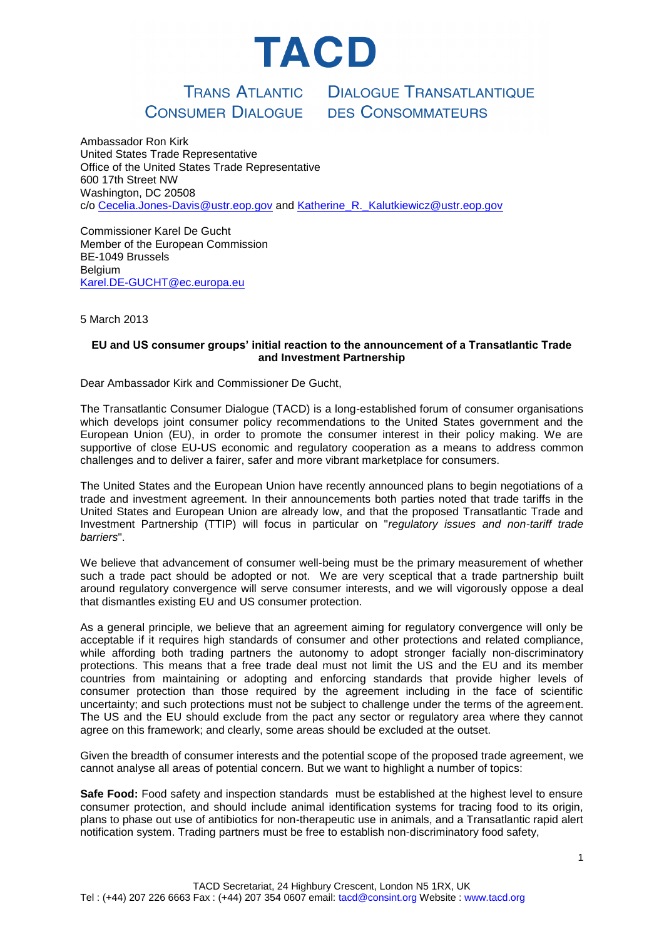

### CONSUMER DIALOGUE

**TRANS ATLANTIC DIALOGUE TRANSATLANTIQUE DES CONSOMMATEURS** 

Ambassador Ron Kirk United States Trade Representative Office of the United States Trade Representative 600 17th Street NW Washington, DC 20508 c/o [Cecelia.Jones-Davis@ustr.eop.gov](mailto:Cecelia.Jones-Davis@ustr.eop.gov) and [Katherine\\_R.\\_Kalutkiewicz@ustr.eop.gov](mailto:Katherine_R._Kalutkiewicz@ustr.eop.gov)

Commissioner Karel De Gucht Member of the European Commission BE-1049 Brussels **Belgium** [Karel.DE-GUCHT@ec.europa.eu](mailto:Karel.DE-GUCHT@ec.europa.eu)

5 March 2013

#### **EU and US consumer groups' initial reaction to the announcement of a Transatlantic Trade and Investment Partnership**

Dear Ambassador Kirk and Commissioner De Gucht,

The Transatlantic Consumer Dialogue (TACD) is a long-established forum of consumer organisations which develops joint consumer policy recommendations to the United States government and the European Union (EU), in order to promote the consumer interest in their policy making. We are supportive of close EU-US economic and regulatory cooperation as a means to address common challenges and to deliver a fairer, safer and more vibrant marketplace for consumers.

The United States and the European Union have recently announced plans to begin negotiations of a trade and investment agreement. In their announcements both parties noted that trade tariffs in the United States and European Union are already low, and that the proposed Transatlantic Trade and Investment Partnership (TTIP) will focus in particular on "*regulatory issues and non-tariff trade barriers*".

We believe that advancement of consumer well-being must be the primary measurement of whether such a trade pact should be adopted or not. We are very sceptical that a trade partnership built around regulatory convergence will serve consumer interests, and we will vigorously oppose a deal that dismantles existing EU and US consumer protection.

As a general principle, we believe that an agreement aiming for regulatory convergence will only be acceptable if it requires high standards of consumer and other protections and related compliance, while affording both trading partners the autonomy to adopt stronger facially non-discriminatory protections. This means that a free trade deal must not limit the US and the EU and its member countries from maintaining or adopting and enforcing standards that provide higher levels of consumer protection than those required by the agreement including in the face of scientific uncertainty; and such protections must not be subject to challenge under the terms of the agreement. The US and the EU should exclude from the pact any sector or regulatory area where they cannot agree on this framework; and clearly, some areas should be excluded at the outset.

Given the breadth of consumer interests and the potential scope of the proposed trade agreement, we cannot analyse all areas of potential concern. But we want to highlight a number of topics:

**Safe Food:** Food safety and inspection standards must be established at the highest level to ensure consumer protection, and should include animal identification systems for tracing food to its origin, plans to phase out use of antibiotics for non-therapeutic use in animals, and a Transatlantic rapid alert notification system. Trading partners must be free to establish non-discriminatory food safety,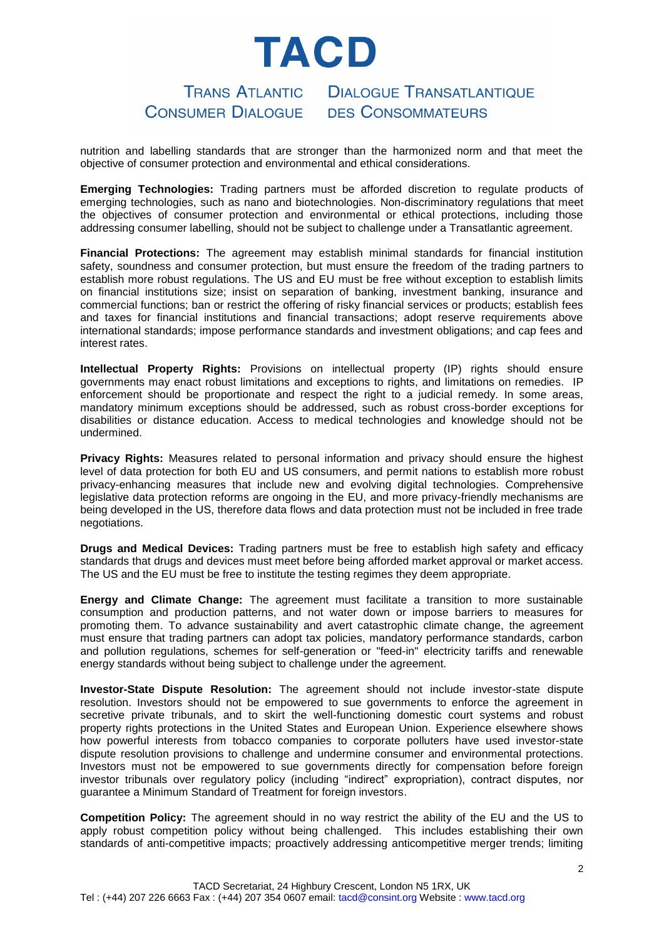# TACD

#### **TRANS ATLANTIC DIALOGUE TRANSATLANTIQUE CONSUMER DIALOGUE DES CONSOMMATEURS**

nutrition and labelling standards that are stronger than the harmonized norm and that meet the objective of consumer protection and environmental and ethical considerations.

**Emerging Technologies:** Trading partners must be afforded discretion to regulate products of emerging technologies, such as nano and biotechnologies. Non-discriminatory regulations that meet the objectives of consumer protection and environmental or ethical protections, including those addressing consumer labelling, should not be subject to challenge under a Transatlantic agreement.

**Financial Protections:** The agreement may establish minimal standards for financial institution safety, soundness and consumer protection, but must ensure the freedom of the trading partners to establish more robust regulations. The US and EU must be free without exception to establish limits on financial institutions size; insist on separation of banking, investment banking, insurance and commercial functions; ban or restrict the offering of risky financial services or products; establish fees and taxes for financial institutions and financial transactions; adopt reserve requirements above international standards; impose performance standards and investment obligations; and cap fees and interest rates.

**Intellectual Property Rights:** Provisions on intellectual property (IP) rights should ensure governments may enact robust limitations and exceptions to rights, and limitations on remedies. IP enforcement should be proportionate and respect the right to a judicial remedy. In some areas, mandatory minimum exceptions should be addressed, such as robust cross-border exceptions for disabilities or distance education. Access to medical technologies and knowledge should not be undermined.

**Privacy Rights:** Measures related to personal information and privacy should ensure the highest level of data protection for both EU and US consumers, and permit nations to establish more robust privacy-enhancing measures that include new and evolving digital technologies. Comprehensive legislative data protection reforms are ongoing in the EU, and more privacy-friendly mechanisms are being developed in the US, therefore data flows and data protection must not be included in free trade negotiations.

**Drugs and Medical Devices:** Trading partners must be free to establish high safety and efficacy standards that drugs and devices must meet before being afforded market approval or market access. The US and the EU must be free to institute the testing regimes they deem appropriate.

**Energy and Climate Change:** The agreement must facilitate a transition to more sustainable consumption and production patterns, and not water down or impose barriers to measures for promoting them. To advance sustainability and avert catastrophic climate change, the agreement must ensure that trading partners can adopt tax policies, mandatory performance standards, carbon and pollution regulations, schemes for self-generation or "feed-in" electricity tariffs and renewable energy standards without being subject to challenge under the agreement.

**Investor-State Dispute Resolution:** The agreement should not include investor-state dispute resolution. Investors should not be empowered to sue governments to enforce the agreement in secretive private tribunals, and to skirt the well-functioning domestic court systems and robust property rights protections in the United States and European Union. Experience elsewhere shows how powerful interests from tobacco companies to corporate polluters have used investor-state dispute resolution provisions to challenge and undermine consumer and environmental protections. Investors must not be empowered to sue governments directly for compensation before foreign investor tribunals over regulatory policy (including "indirect" expropriation), contract disputes, nor guarantee a Minimum Standard of Treatment for foreign investors.

**Competition Policy:** The agreement should in no way restrict the ability of the EU and the US to apply robust competition policy without being challenged. This includes establishing their own standards of anti-competitive impacts; proactively addressing anticompetitive merger trends; limiting